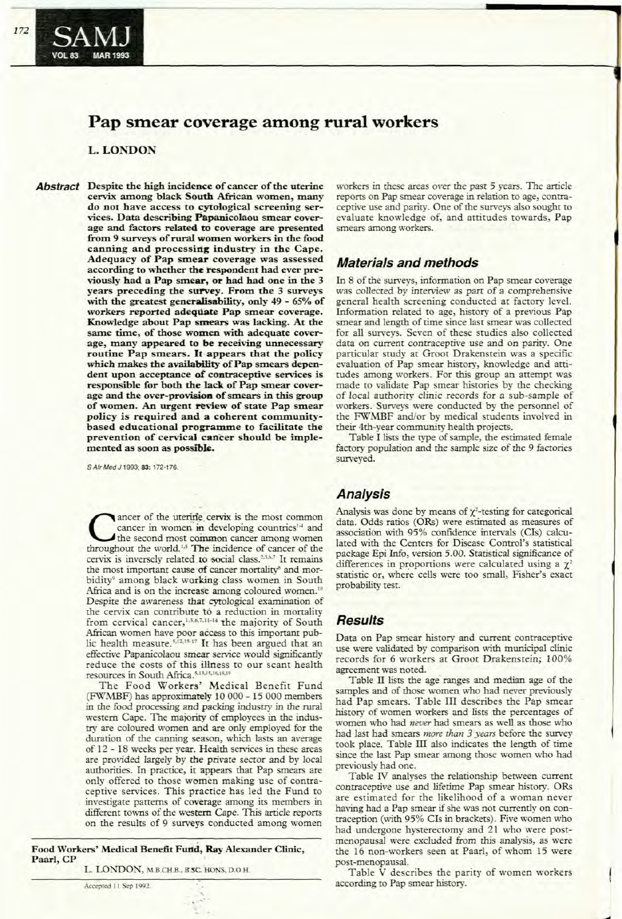**MAR 1993** 

# **Pap smear coverage among rural workers**

### L. LONDON

Abstract Despite the high incidence of cancer of the uterine cervix among black South African women, many do not have access to cytological screening services. Data describing Papanicolaou smear coverage and factors related to coverage are presented from 9 surveys of rural women workers in the food canning and processing industry in the Cape. Adequacy of Pap smear coverage was assessed according to whether the respondent had ever previously had a Pap smear, or had had one in the 3 years preceding the survey. From the 3 surveys with the greatest generalisability, only 49 - 65% of workers reported adequate Pap smear coverage. Knowledge about Pap smears was lacking. At the same time, of those women with adequate coverage, many appeared to be receiving unnecessary routine Pap smears. It appears that the policy which makes the availability of Pap smears dependent upon acceptance of contraceptive services is responsible for both the lack of Pap smear coverage and the over-provision of smears in this group of women. An urgent review of state Pap smear policy is required and a coherent communitybased educational programme to facilitate the prevention of cervical cancer should be implemented as soon as possible.

S Afr Med J 1993; 83: 172-176.

Cancer of the uterine cervix is the most common<br>cancer in women in developing countries<sup>14</sup> and<br>the second most common cancer among women<br>throughout the world <sup>13</sup> The incidence of cancer of the cancer in women in developing countries<sup>14</sup> and the second most common cancer among women throughout the world.<sup>1,5</sup> The incidence of cancer of the cervix is inversely related to social class.<sup>2,3,6,7</sup> It remains the most important cause of cancer mortality<sup>s</sup> and morbidity' among black working class women in South Africa and is on the increase among coloured women.<sup>10</sup> Despite the awareness that cytological examination of the cervix can contribute to a reduction in mortality from cervical cancer,<sup>1,3,6,7,11-14</sup> the majority of South African women have poor access to this important public health measure.<sup>5,12,15-17</sup> It has been argued that an effective Papanicolaou smear service would significantly reduce the costs of this illness to our scant health resources in South Africa.<sup>5.15.I5</sup>.I<sup>6</sup>.I<sup>6</sup>.

The Food Workers' Medical Benefit Fund (FWMBF) has approximately 10 000 - 15 000 members in the food processing and packing industry in the rural western Cape. The majority of employees in the industry are coloured women and are only employed for the duration of the canning season, which lasts an average of 12 - 18 weeks per year. Health services in these areas are provided largely by the private sector and by local authorities. In practice, it appears that Pap smears are only offered to those women making use of contraceptive services. This practice has led the Fund to investigate patterns of coverage among its members in different towns of the western Cape. This article reports on the results of 9 surveys conducted among women

Food Workers' Medical Benefit Futtd, Ray Alexander Clinic, Paarl, CP

L. LONDON, M.B.CH.B., B.SC. HONS, D.O.H.

workers in these areas *over* the past 5 years. The article reports on Pap smear coverage in relation to age, contraceptive use and parity. One of the surveys also sought to evaluate knowledge of, and attitudes towards, Pap smears among workers.

### **Materials and methods**

In 8 of the surveys, information on Pap smear coverage was collected by interview as part of a comprehensive general health screening conducted at factory level. Information related to age, history of a previous Pap smear and length of time since last smear was collected for all surveys. Seven of these studies also collected data on current contraceptive use and on parity. One particular study at Groor Drakenstein was a specific evaluation of Pap smear history, knowledge and attitudes among workers. For this group an attempt was made to validate Pap smear histories by the checking of local authority clinic records for a sub-sample of workers. Surveys were conducted by the personnel of the FWMBF and/or by medical students involved in their 4th-year community health projects.

Table I lists the type of sample, the estimated female factory population and the sample size of the 9 factories surveyed.

### **Analysis**

Analysis was done by means of  $\chi^2$ -testing for categorical data. Odds ratios (ORs) were estimated as measures of association with 95% confidence intervals (Cls) calculated with the Centers for Disease Control's statistical package Epi Info, version 5.00. Statistical significance of differences in proportions were calculated using a  $\chi^2$ statistic or, where cells were too small, Fisher's exact probability test.

### **Results**

Data on Pap smear history and current contraceptive use were validated by comparison with municipal clinic records for 6 workers at Groot Drakenstein; 100% agreement was noted.

Table IT lists the age ranges and median age of the samples and of those women who had never previously had Pap smears. Table III describes the Pap smear history of women workers and lists the percentages of women who had *never* had smears as well as those who had last had smears *more than* 3 *years* before the survey took place. Table III also indicates the length of time since the last Pap smear among those women who had previously had one.

Table IV analyses the relationship between current contraceptive use and lifetime Pap smear history. ORs are estimated for the likelihood of a woman never having had a Pap smear if she was not currently on contraception (with 95% CIs in brackets). Five women who had undergone hysterectomy and 21 who were postmenopausal were excluded from this analysis, as were the 16 non-workers seen at Paarl, of whom 15 were post-menopausal.

Table V describes the parity of women workers according to Pap smear history.

---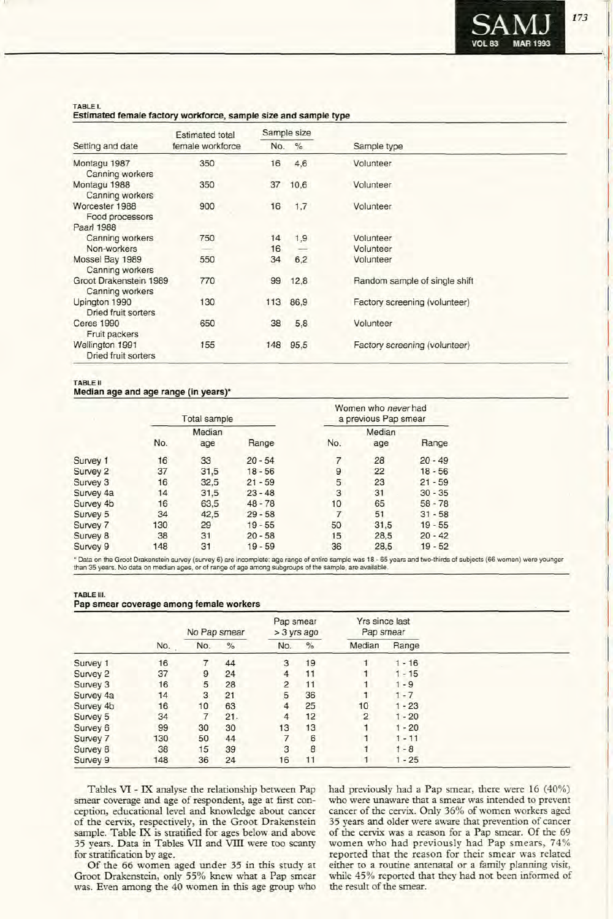

#### TABLE!.

#### Estimated female factory workforce, sample size and sample type

|                                             | <b>Estimated total</b> |     | Sample size   |                               |  |
|---------------------------------------------|------------------------|-----|---------------|-------------------------------|--|
| Setting and date                            | female workforce       | No. | $\frac{9}{6}$ | Sample type                   |  |
| Montagu 1987<br>Canning workers             | 350                    | 16  | 4,6           | Volunteer                     |  |
| Montagu 1988<br>Canning workers             | 350                    | 37  | 10,6          | Volunteer                     |  |
| Worcester 1988<br>Food processors           | 900                    | 16  | 1,7           | Volunteer                     |  |
| Paarl 1988                                  |                        |     |               |                               |  |
| Canning workers                             | 750                    | 14  | 1,9           | Volunteer                     |  |
| Non-workers                                 |                        | 16  |               | Volunteer                     |  |
| Mossel Bay 1989<br>Canning workers          | 550                    | 34  | 6,2           | Volunteer                     |  |
| Groot Drakenstein 1989<br>Canning workers   | 770                    | 99  | 12,8          | Random sample of single shift |  |
| Upington 1990<br><b>Dried fruit sorters</b> | 130                    | 113 | 86,9          | Factory screening (volunteer) |  |
| <b>Ceres 1990</b><br>Fruit packers          | 650                    | 38  | 5,8           | Volunteer                     |  |
| Wellington 1991<br>Dried fruit sorters      | 155                    | 148 | 95,5          | Factory screening (volunteer) |  |

#### TABLE <sup>11</sup>

#### Median age and age range (in years)'

|           |     | <b>Total sample</b> |           |     | Women who never had<br>a previous Pap smear |           |
|-----------|-----|---------------------|-----------|-----|---------------------------------------------|-----------|
|           |     | Median              |           |     | Median                                      |           |
|           | No. | age                 | Range     | No. | age                                         | Range     |
| Survey 1  | 16  | 33                  | $20 - 54$ |     | 28                                          | $20 - 49$ |
| Survey 2  | 37  | 31,5                | $18 - 56$ | 9   | 22                                          | $18 - 56$ |
| Survey 3  | 16  | 32.5                | $21 - 59$ | 5   | 23                                          | $21 - 59$ |
| Survey 4a | 14  | 31.5                | $23 - 48$ | 3   | 31                                          | $30 - 35$ |
| Survey 4b | 16  | 63,5                | $48 - 78$ | 10  | 65                                          | $58 - 78$ |
| Survey 5  | 34  | 42.5                | $29 - 58$ | 7   | 51                                          | $31 - 58$ |
| Survey 7  | 130 | 29                  | $19 - 55$ | 50  | 31.5                                        | $19 - 55$ |
| Survey 8  | 38  | 31                  | $20 - 58$ | 15  | 28.5                                        | $20 - 42$ |
| Survey 9  | 148 | 31                  | $19 - 59$ | 36  | 28.5                                        | $19 - 52$ |

\* Data on the Groot Drakenstein survey (survey 6) are incomplete: age range of entire sample was 18 - 65 years and two-thirds of subjects (66 women) were younger<br>than 35 years. No data on median ages, or of range of age am

#### TABLE Ill.

|  |  |  |  | Pap smear coverage among female workers |
|--|--|--|--|-----------------------------------------|
|--|--|--|--|-----------------------------------------|

|           |     | No Pap smear   |      | Pap smear<br>$>$ 3 yrs ago |      | Yrs since last<br>Pap smear |          |  |
|-----------|-----|----------------|------|----------------------------|------|-----------------------------|----------|--|
|           | No. | No.            | $\%$ | No.                        | $\%$ | Median                      | Range    |  |
| Survey 1  | 16  | 7              | 44   | 3                          | 19   |                             | $1 - 16$ |  |
| Survey 2  | 37  | 9              | 24   | 4                          | 11   |                             | $1 - 15$ |  |
| Survey 3  | 16  | 5              | 28   | $\overline{2}$             | 11   |                             | $-9$     |  |
| Survey 4a | 14  | 3              | 21   | 5                          | 36   |                             | $1 - 7$  |  |
| Survey 4b | 16  | 10             | 63   | 4                          | 25   | 10                          | $1 - 23$ |  |
| Survey 5  | 34  | $\overline{7}$ | 21.  | 4                          | 12   | $\overline{2}$              | $1 - 20$ |  |
| Survey 6  | 99  | 30             | 30   | 13                         | 13   |                             | $1 - 20$ |  |
| Survey 7  | 130 | 50             | 44   |                            | 6    |                             | $1 - 11$ |  |
| Survey 8  | 38  | 15             | 39   | 3                          | 8    |                             | $1 - 8$  |  |
| Survey 9  | 148 | 36             | 24   | 16                         | 11   |                             | $1 - 25$ |  |

Tables VI - IX analyse the relationship between Pap smear coverage and age of respondent, age at first conception, educational level and knowledge about cancer of the cervix, respectively, in the Groot Drakenstein sample. Table IX is stratified for ages below and above 35 years. Data in Tables VII and VIll were too scanty for stratification by age.

Of the 66 women aged under 35 in this study at Groot Drakenstein, only 55% knew what a Pap smear was. Even among the 40 women in this age group who had previously had a Pap smear, there were 16 (40%) who were unaware that a smear was intended to prevent cancer of the cervix. Only 36% of women workers aged 35 years and older were aware that prevention of cancer of the cervix was a reason for a Pap smear. Of the 69 women who had previously had Pap smears, 74% reported that the reason for their smear was related either to a routine antenatal or a family planning visit, while 45% reported that they had not been informed of the result of the smear.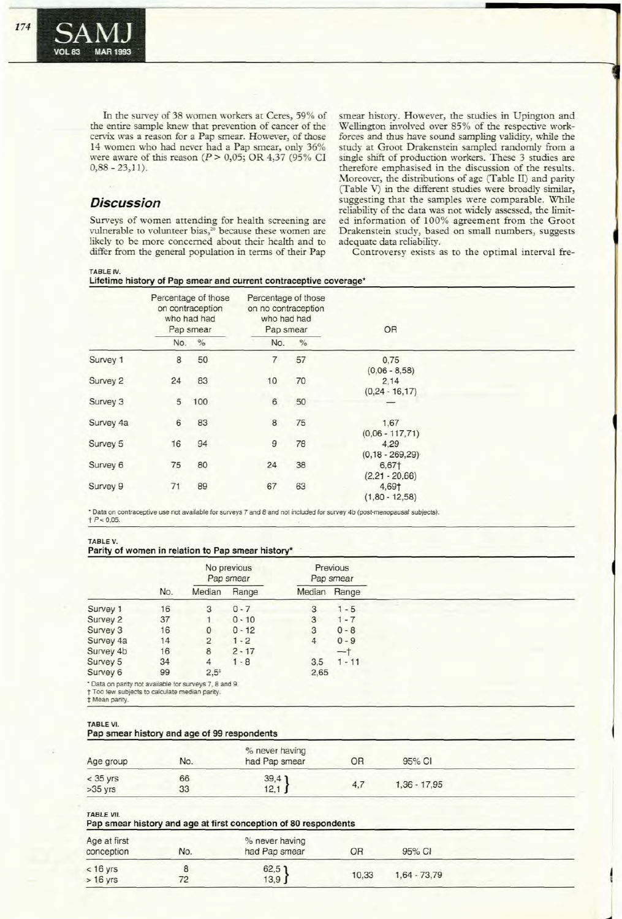In the survey of 38 women workers at Ceres, 59% of the entire sample knew that prevention of cancer of the cervix was a reason for a Pap smear. However, of those 14 women who had never had a Pap smear, only 36% were aware of this reason ( $P > 0,05$ ; OR 4,37 (95% CI  $0,88 - 23,11$ .

## **Discussion**

TABLE IV.

Surveys of women attending for health screening are vulnerable to volunteer bias,<sup>20</sup> because these women are likely to be more concerned about their health and to differ from the general population in terms of their Pap smear history. However, the studies in Upington and Wellington involved over 85% of the respective workforces and thus have sound sampling validiry, while the study at Groot Drakenstein sampled randomly from a single shift of production workers. These 3 studies are therefore emphasised in the discussion of the results. Moreover, the distributions of age (Table II) and parity (Table V) in the different studies were broadly similar, suggesting that the samples were comparable. While reliability of the data was not widely assessed, the limited information of 100% agreement from the Groot Drakenstein study, based on small numbers, suggests adequate data reliabiliry.

Controversy exists as to the optimal interval fre-

J

**Lifetime history of Pap smear and current contraceptive coverage\***

|           |     | Percentage of those<br>on contraception<br>who had had<br>Pap smear |     | Percentage of those<br>on no contraception<br>who had had<br>Pap smear | OR                          |  |
|-----------|-----|---------------------------------------------------------------------|-----|------------------------------------------------------------------------|-----------------------------|--|
|           | No. | $\%$                                                                | No. | $\%$                                                                   |                             |  |
| Survey 1  | 8   | 50                                                                  | 7   | 57                                                                     | 0,75<br>$(0,06 - 8,58)$     |  |
| Survey 2  | 24  | 83                                                                  | 10  | 70                                                                     | 2,14<br>$(0, 24 - 16, 17)$  |  |
| Survey 3  | 5   | 100                                                                 | 6   | 50                                                                     |                             |  |
| Survey 4a | 6   | 83                                                                  | 8   | 75                                                                     | 1.67<br>$(0.06 - 117, 71)$  |  |
| Survey 5  | 16  | 94                                                                  | 9   | 78                                                                     | 4,29<br>$(0, 18 - 269, 29)$ |  |
| Survey 6  | 75  | 80                                                                  | 24  | 38                                                                     | 6,67†<br>$(2,21 - 20,66)$   |  |
| Survey 9  | 71  | 89                                                                  | 67  | 63                                                                     | 4,69†<br>$(1,80 - 12,58)$   |  |

• Data on contraceptive use not available for surveys 7 and 8 and not included for survey 4b (post-menopausal subjects).  $t$   $P$  < 0,05.

#### TABLE v.

#### **Parity of women in relation to Pap smear history\***

|                                                                                                                            |     |                | No previous<br>Pap smear |      | Previous<br>Pap smear |  |
|----------------------------------------------------------------------------------------------------------------------------|-----|----------------|--------------------------|------|-----------------------|--|
|                                                                                                                            | No. | Median         | Range                    |      | Median Range          |  |
| Survey 1                                                                                                                   | 16  | 3              | $0 - 7$                  | 3    | $1 - 5$               |  |
| Survey 2                                                                                                                   | 37  | 1              | $0 - 10$                 | 3    | $1 - 7$               |  |
| Survey 3                                                                                                                   | 16  | $\mathbf{0}$   | $0 - 12$                 | 3    | $0 - 8$               |  |
| Survey 4a                                                                                                                  | 14  | $\overline{2}$ | $1 - 2$                  | 4    | $0 - 9$               |  |
| Survey 4b                                                                                                                  | 16  | 8              | $2 - 17$                 |      | 一†                    |  |
| Survey 5                                                                                                                   | 34  | 4              | $1 - 8$                  | 3.5  | $1 - 11$              |  |
| Survey 6                                                                                                                   | 99  | $2.5*$         |                          | 2,65 |                       |  |
| * Data on parity not available for surveys 7, 8 and 9.<br>† Too few subjects to calculate median parity.<br># Mean parity. |     |                |                          |      |                       |  |

TABLE **VI.**

| $\overline{\phantom{a}}$                    |  |  |  |
|---------------------------------------------|--|--|--|
| Pap smear history and age of 99 respondents |  |  |  |

| Age group               | No.      | % never having<br>had Pap smear | OR  | 95% CI         |  |
|-------------------------|----------|---------------------------------|-----|----------------|--|
| $<$ 35 yrs<br>$>35$ yrs | 66<br>33 | $39,4$<br>12,1 }                | 4.7 | $1,36 - 17,95$ |  |

|  |  | <b>TABLE VII.</b> |  |
|--|--|-------------------|--|
|  |  |                   |  |

|                            |     | Pap smear history and age at first conception of 80 respondents |       |                |  |
|----------------------------|-----|-----------------------------------------------------------------|-------|----------------|--|
| Age at first<br>conception | No. | % never having<br>had Pap smear                                 | OR    | 95% CI         |  |
| $< 16$ yrs<br>$>16$ yrs    | 72  | $62,5$ 1<br>13.9                                                | 10.33 | $1.64 - 73.79$ |  |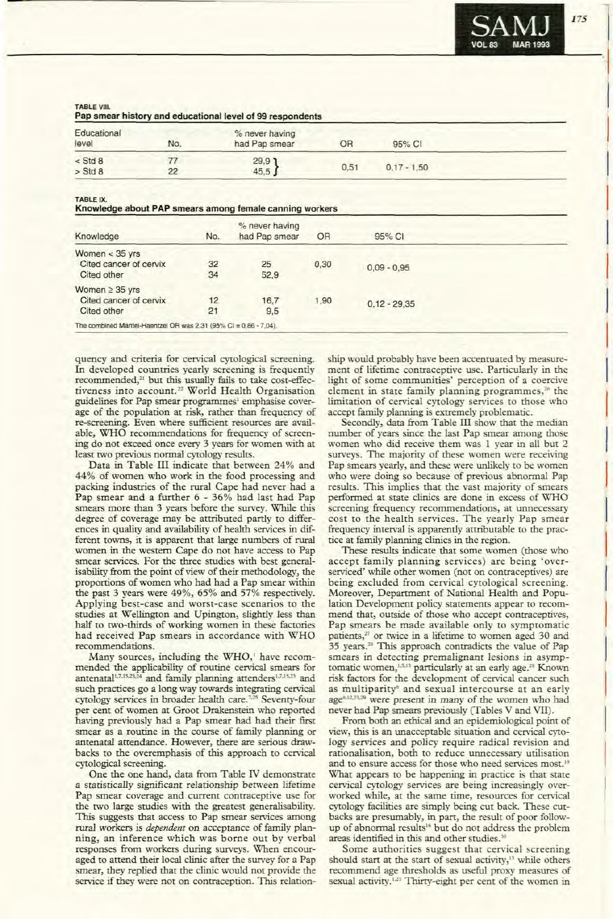

I

I

I

I

I

I

I

I

I

I

 $\vert$ 

I

I

,

I

I

I

I

I

I

**TABLE** VIII.

|  | Pap smear history and educational level of 99 respondents |
|--|-----------------------------------------------------------|
|--|-----------------------------------------------------------|

| Educational<br>level | No. | % never having<br>had Pap smear                           | OR   | 95% CI        |  |
|----------------------|-----|-----------------------------------------------------------|------|---------------|--|
| $<$ Std 8            |     |                                                           |      |               |  |
| $>$ Std 8            | 22  | $\left.\begin{array}{c} 29.9 \\ 45.5 \end{array}\right\}$ | 0.51 | $0.17 - 1.50$ |  |

TABLE IX.

|  |  | Knowledge about PAP smears among female canning workers |  |
|--|--|---------------------------------------------------------|--|
|--|--|---------------------------------------------------------|--|

| Knowledge                                                             | No.      | % never having<br>had Pap smear | <b>OR</b> | 95% CI         |  |
|-----------------------------------------------------------------------|----------|---------------------------------|-----------|----------------|--|
| Women $<$ 35 yrs<br>Cited cancer of cervix<br>Cited other             | 32<br>34 | 25<br>52,9                      | 0,30      | $0.09 - 0.95$  |  |
| Women $\geq$ 35 yrs<br>Cited cancer of cervix<br>Cited other          | 12<br>21 | 16.7<br>9.5                     | ,90       | $0.12 - 29.35$ |  |
| The combined Mantel-Haentzel OR was $2,31$ (95% Cl = $0,86 - 7,04$ ). |          |                                 |           |                |  |

quency and criteria for cervical cytological screening. In developed countries yearly screening is frequently recommended,<sup>21</sup> but this usually fails to take cost-effectiveness into account.<sup>22</sup> World Health Organisation guidelines for Pap smear programmes' emphasise coverage of the population at risk, rather than frequency of re-screening. Even where sufficient resources are available, WHO recommendations for frequency of screening do not exceed once every 3 years for women with at least two previous normal cytology results.

Data in Table **ill** indicate that between 24% and 44% of women who work in the food processing and packing industries of the rural Cape had never had a Pap smear and a further 6 - 36% had last had Pap smears more than 3 years before the survey. While this degree of coverage may be attributed partly to differences in quality and availability of health services in different towns, it is apparent that large numbers of rural women in the western Cape do not have access to Pap smear services. For the three studies with best generalisability from the point of view of their methodology, the proportions of women who had had a Pap smear within the past 3 years were 49%, 65% and 57% respectively. Applying best-case and worst-case scenarios to the studies at Wellington and Upington, slightly less than half to two-thirds of working women in these factories had received Pap smears in accordance with WHO recommendations.

Many sources, including the WHO,' have recommended the applicability of routine cervical smears for antenatal<sup>1,7,15,23,24</sup> and family planning attenders<sup>1,7,15,23</sup> and such practices go a long way towards integrating cervical cytology services in broader health care.<sup>7,25</sup> Seventy-four per cent of women at Groot Drakenstein who reported having previously had a Pap smear had had their first smear as a routine in the course of family planning or antenatal attendance. However, there are serious drawbacks to the overemphasis of this approach to cervical cytological screening.

One the one hand, data from Table IV demonstrate a statistically significant relationship between lifetime Pap smear coverage and current contraceptive use for the two large studies with the greatest generalisability. This suggests that access to Pap smear services among rural workers is *dependent* on acceptance of family planning, an inference which was borne out by verbal responses from workers during surveys. When encouraged to attend their local clinic after the survey for a Pap smear, they replied that the clinic would not provide the service if they were not on contraception. This relationship would probably have been accentuated by measurement of lifetime contraceptive use. Particularly in the light of some communities' perception of a coercive element in state family planning programmes,<sup>26</sup> the limitation of cervical cytology services to those who accept family planning is extremely problematic.

Secondly, data from Table III show that the median number of years since the last Pap smear among those women who did receive them was I year in all but 2 surveys. The majority of these women were receiving Pap smears yearly, and these were unlikely to be women who were doing so because of previous abnormal Pap results. This implies that the vast majority of smears performed at state clinics are done in excess of WHO screening frequency recommendations, at unnecessary cost to the health services. The yearly Pap smear frequency interval is apparently attributable to the practice at family planning clinics in the region.

These results indicate that some women (those who accept family planning services) are being 'overserviced' while other women (not on contraceptives) are being excluded from cervical cytological screening. Moreover, Department of National Health and Population Development policy statements appear to recommend that, outside of those who accept contraceptives, Pap smears be made available only to symptomatic patients,<sup>27</sup> or twice in a lifetime to women aged 30 and 35 years.<sup>28</sup> This approach contradicts the value of Pap smears in detecting premalignant lesions in asymptomatic women,<sup>1,5,15</sup> particularly at an early age.<sup>28</sup> Known risk factors for the development of cervical cancer such as multiparity<sup>®</sup> and sexual intercourse at an early age<sup>6,12,23,29</sup> were present in many of the women who had never had Pap smears previously (Tables V and Vll).

From both an ethical and an epidemiological point of view, this is an unacceptable situation and cervical cytology services and policy require radical revision and rationalisation, both to reduce unnecessary utilisation and to ensure access for those who need services most.<sup>19</sup> What appears to be happening in practice is that state cervical cytology services are being increasingly overworked while, at the same time, resources for cervical cytology facilities are simply being cut back. These cutbacks are presumably, in part, the result of poor followup of abnormal results<sup>16</sup> but do not address the problem areas identified in this and other studies.<sup>3</sup>

Some authorities suggest that cervical screening should start at the start of sexual activity,<sup>15</sup> while others recommend age thresholds as useful proxy measures of sexual activity.<sup>1,23</sup> Thirty-eight per cent of the women in